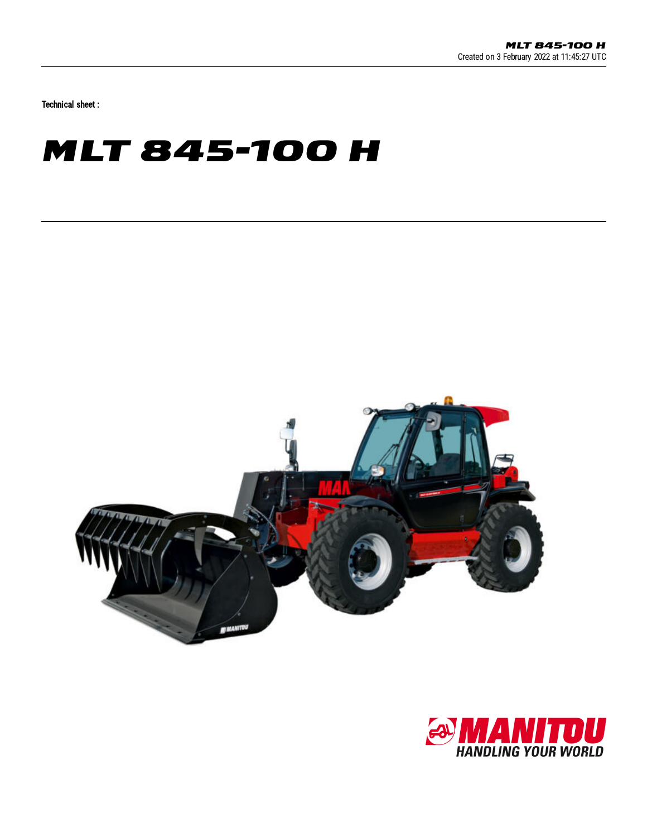Technical sheet :

## **MLT 845-100 H**



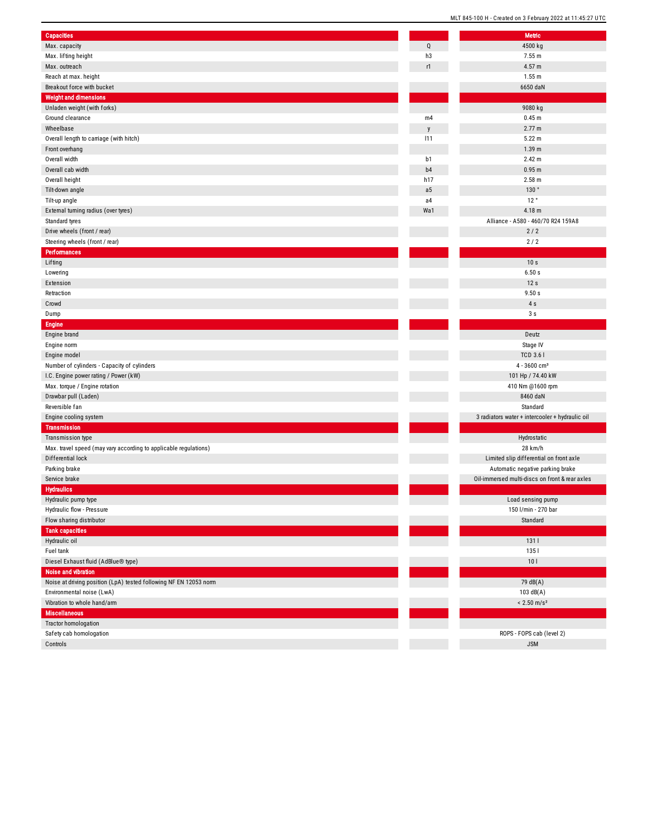| <b>Capacities</b>                                                 |                | Metric                                          |
|-------------------------------------------------------------------|----------------|-------------------------------------------------|
| Max. capacity                                                     | Q              | 4500 kg                                         |
| Max. lifting height                                               | h3             | 7.55 m                                          |
| Max. outreach                                                     | r1             | 4.57 m                                          |
| Reach at max. height                                              |                | 1.55 m                                          |
| Breakout force with bucket                                        |                | 6650 daN                                        |
| <b>Weight and dimensions</b>                                      |                |                                                 |
| Unladen weight (with forks)                                       |                | 9080 kg                                         |
| Ground clearance                                                  | m4             | $0.45$ m                                        |
| Wheelbase                                                         | $\mathsf{y}$   | 2.77 m                                          |
| Overall length to carriage (with hitch)                           | 111            | 5.22 m                                          |
| Front overhang                                                    |                | 1.39 <sub>m</sub>                               |
| Overall width                                                     | b1             | 2.42 m                                          |
| Overall cab width                                                 | b4             | 0.95 m                                          |
| Overall height                                                    | h17            | 2.58 m                                          |
| Tilt-down angle                                                   | a <sub>5</sub> | 130°                                            |
| Tilt-up angle                                                     | a4             | 12°                                             |
|                                                                   | Wa1            | 4.18 m                                          |
| External turning radius (over tyres)                              |                | Alliance - A580 - 460/70 R24 159A8              |
| Standard tyres                                                    |                |                                                 |
| Drive wheels (front / rear)                                       |                | 2/2                                             |
| Steering wheels (front / rear)                                    |                | $2/2$                                           |
| <b>Performances</b>                                               |                |                                                 |
| Lifting                                                           |                | 10 s                                            |
| Lowering                                                          |                | 6.50s                                           |
| Extension                                                         |                | 12s                                             |
| Retraction                                                        |                | 9.50 s                                          |
| Crowd                                                             |                | 4s                                              |
| Dump                                                              |                | 3s                                              |
| <b>Engine</b>                                                     |                |                                                 |
| Engine brand                                                      |                | Deutz                                           |
| Engine norm                                                       |                | Stage IV                                        |
| Engine model                                                      |                | <b>TCD 3.61</b>                                 |
| Number of cylinders - Capacity of cylinders                       |                | $4 - 3600$ cm <sup>3</sup>                      |
| I.C. Engine power rating / Power (kW)                             |                | 101 Hp / 74.40 kW                               |
| Max. torque / Engine rotation                                     |                | 410 Nm @1600 rpm                                |
| Drawbar pull (Laden)                                              |                | 8460 daN                                        |
| Reversible fan                                                    |                | Standard                                        |
| Engine cooling system                                             |                | 3 radiators water + intercooler + hydraulic oil |
| <b>Transmission</b>                                               |                |                                                 |
| Transmission type                                                 |                | Hydrostatic                                     |
| Max. travel speed (may vary according to applicable regulations)  |                | 28 km/h                                         |
| Differential lock                                                 |                | Limited slip differential on front axle         |
| Parking brake                                                     |                | Automatic negative parking brake                |
| Service brake                                                     |                | Oil-immersed multi-discs on front & rear axles  |
| <b>Hydraulics</b>                                                 |                |                                                 |
| Hydraulic pump type                                               |                | Load sensing pump                               |
| Hydraulic flow - Pressure                                         |                | 150 l/min - 270 bar                             |
| Flow sharing distributor                                          |                | Standard                                        |
| <b>Tank capacities</b>                                            |                |                                                 |
| Hydraulic oil                                                     |                | 1311                                            |
| Fuel tank                                                         |                | 1351                                            |
| Diesel Exhaust fluid (AdBlue® type)                               |                | 101                                             |
| Noise and vibration                                               |                |                                                 |
| Noise at driving position (LpA) tested following NF EN 12053 norm |                | 79 dB(A)                                        |
| Environmental noise (LwA)                                         |                | 103 $dB(A)$                                     |
| Vibration to whole hand/arm                                       |                | $< 2.50$ m/s <sup>2</sup>                       |
| <b>Miscellaneous</b>                                              |                |                                                 |
|                                                                   |                |                                                 |
| <b>Tractor homologation</b>                                       |                | ROPS - FOPS cab (level 2)                       |
| Safety cab homologation                                           |                |                                                 |
| Controls                                                          |                | <b>JSM</b>                                      |

MLT 845-100 H - Created on 3 February 2022 at 11:45:27 UTC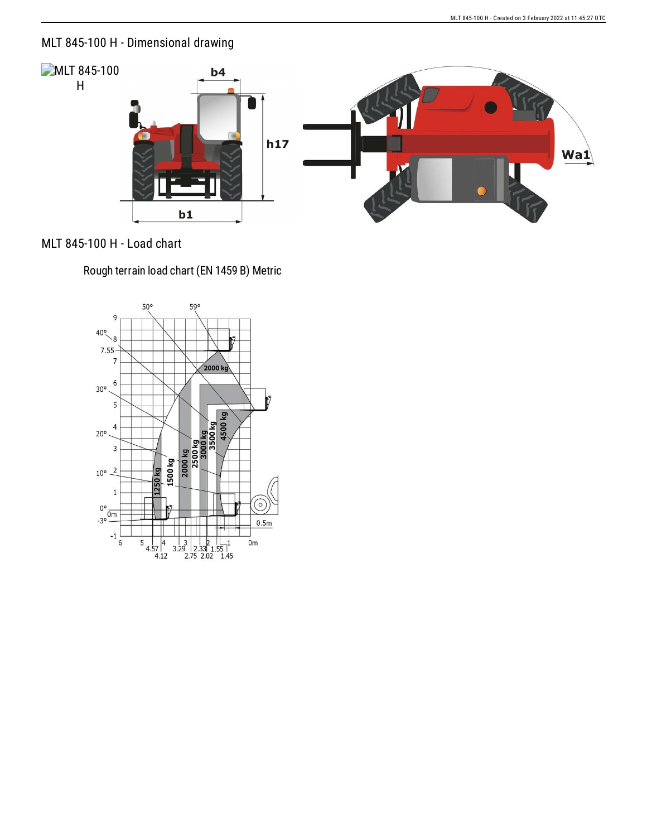## MLT 845-100 H - Dimensional drawing



## MLT 845-100 H - Load chart

Rough terrain load chart (EN 1459 B) Metric